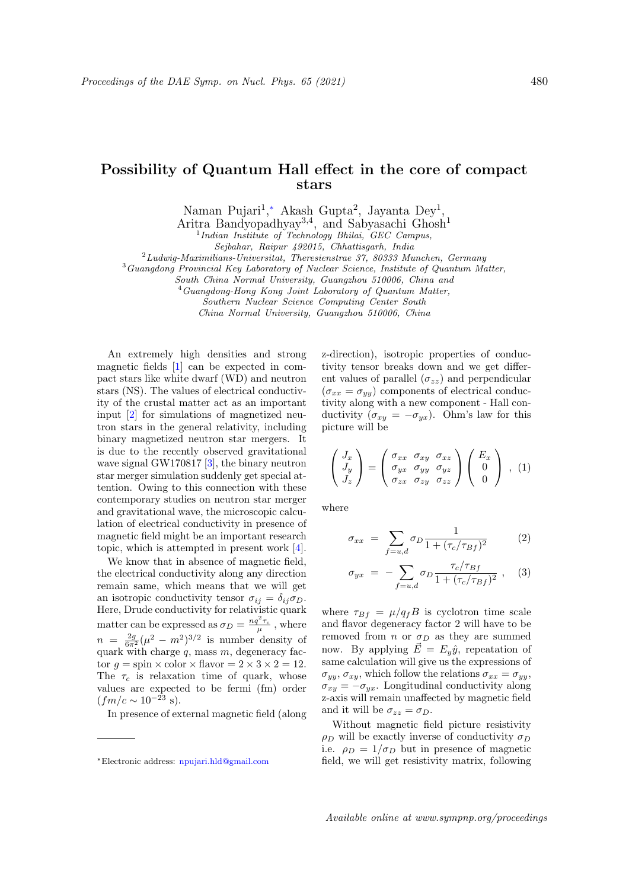## Possibility of Quantum Hall effect in the core of compact stars

Naman Pujari<sup>1</sup>,\* Akash Gupta<sup>2</sup>, Jayanta Dey<sup>1</sup>,

Aritra Bandyopadhyay<sup>3,4</sup>, and Sabyasachi Ghosh<sup>1</sup>

<sup>1</sup> Indian Institute of Technology Bhilai, GEC Campus,

Sejbahar, Raipur 492015, Chhattisgarh, India

 $2Ludwig-Maximilians-Universitat, The resienstrae 37, 80333 Munchen, Germany$ 

<sup>3</sup>Guangdong Provincial Key Laboratory of Nuclear Science, Institute of Quantum Matter,

South China Normal University, Guangzhou 510006, China and

<sup>4</sup>Guangdong-Hong Kong Joint Laboratory of Quantum Matter,

Southern Nuclear Science Computing Center South

China Normal University, Guangzhou 510006, China

An extremely high densities and strong magnetic fields [1] can be expected in compact stars like white dwarf (WD) and neutron stars (NS). The values of electrical conductivity of the crustal matter act as an important input [2] for simulations of magnetized neutron stars in the general relativity, including binary magnetized neutron star mergers. It is due to the recently observed gravitational wave signal GW170817 [3], the binary neutron star merger simulation suddenly get special attention. Owing to this connection with these contemporary studies on neutron star merger and gravitational wave, the microscopic calculation of electrical conductivity in presence of magnetic field might be an important research topic, which is attempted in present work [4].

We know that in absence of magnetic field, the electrical conductivity along any direction remain same, which means that we will get an isotropic conductivity tensor  $\sigma_{ij} = \delta_{ij} \sigma_D$ . Here, Drude conductivity for relativistic quark matter can be expressed as  $\sigma_D = \frac{nq^2\tau_c}{\mu}$ , where  $n = \frac{2g}{6\pi^2}(\mu^2 - m^2)^{3/2}$  is number density of quark with charge  $q$ , mass  $m$ , degeneracy factor  $q = \text{spin} \times \text{color} \times \text{flavor} = 2 \times 3 \times 2 = 12.$ The  $\tau_c$  is relaxation time of quark, whose values are expected to be fermi (fm) order  $(fm/c \sim 10^{-23}$  s).

In presence of external magnetic field (along

z-direction), isotropic properties of conductivity tensor breaks down and we get different values of parallel  $(\sigma_{zz})$  and perpendicular  $(\sigma_{xx} = \sigma_{yy})$  components of electrical conductivity along with a new component - Hall conductivity  $(\sigma_{xy} = -\sigma_{yx})$ . Ohm's law for this picture will be

$$
\begin{pmatrix} J_x \\ J_y \\ J_z \end{pmatrix} = \begin{pmatrix} \sigma_{xx} & \sigma_{xy} & \sigma_{xz} \\ \sigma_{yx} & \sigma_{yy} & \sigma_{yz} \\ \sigma_{zx} & \sigma_{zy} & \sigma_{zz} \end{pmatrix} \begin{pmatrix} E_x \\ 0 \\ 0 \end{pmatrix} , (1)
$$

where

$$
\sigma_{xx} = \sum_{f=u,d} \sigma_D \frac{1}{1 + (\tau_c/\tau_{Bf})^2} \tag{2}
$$

$$
\sigma_{yx} = -\sum_{f=u,d} \sigma_D \frac{\tau_c/\tau_{Bf}}{1 + (\tau_c/\tau_{Bf})^2} , \quad (3)
$$

where  $\tau_{Bf} = \mu/q_f B$  is cyclotron time scale and flavor degeneracy factor 2 will have to be removed from *n* or  $\sigma_D$  as they are summed now. By applying  $\vec{E} = E_y \hat{y}$ , repeatation of same calculation will give us the expressions of  $\sigma_{yy}, \sigma_{xy}$ , which follow the relations  $\sigma_{xx} = \sigma_{yy}$ ,  $\sigma_{xy} = -\sigma_{yx}$ . Longitudinal conductivity along z-axis will remain unaffected by magnetic field and it will be  $\sigma_{zz} = \sigma_D$ .

Without magnetic field picture resistivity  $\rho_D$  will be exactly inverse of conductivity  $\sigma_D$ i.e.  $\rho_D = 1/\sigma_D$  but in presence of magnetic field, we will get resistivity matrix, following

<sup>∗</sup>Electronic address: npujari.hld@gmail.com